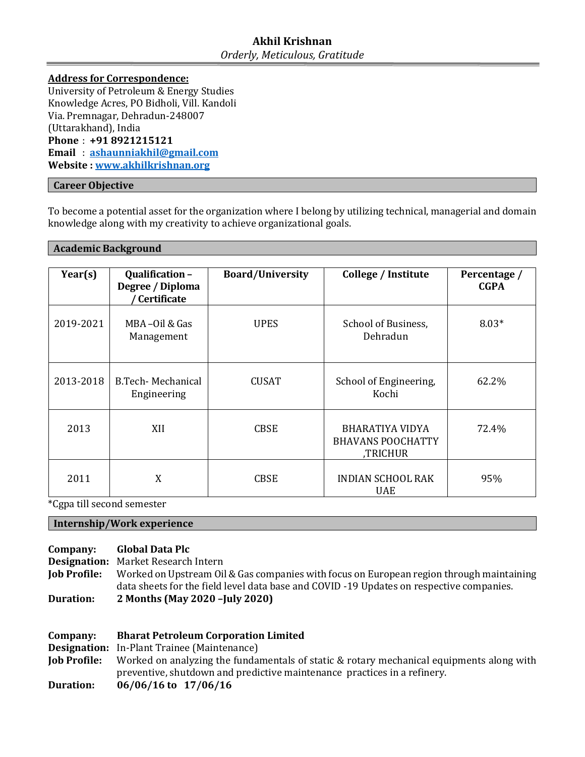# **Akhil Krishnan** *Orderly, Meticulous, Gratitude*

**Address for Correspondence:** University of Petroleum & Energy Studies Knowledge Acres, PO Bidholi, Vill. Kandoli Via. Premnagar, Dehradun-248007 (Uttarakhand), India **Phone** : **+91 8921215121 Email** : **[ashaunniakhil@gmail.com](mailto:ashaunniakhil@gmail.com) Website [: www.akhilkrishnan.org](http://www.akhilkrishnan.org/)**

## **Career Objective**

To become a potential asset for the organization where I belong by utilizing technical, managerial and domain knowledge along with my creativity to achieve organizational goals.

### **Academic Background**

| Year(s)   | Qualification-<br>Degree / Diploma<br>Certificate | <b>Board/University</b> | College / Institute                                            | Percentage /<br><b>CGPA</b> |
|-----------|---------------------------------------------------|-------------------------|----------------------------------------------------------------|-----------------------------|
| 2019-2021 | MBA-Oil & Gas<br>Management                       | <b>UPES</b>             | School of Business,<br>Dehradun                                | $8.03*$                     |
| 2013-2018 | B.Tech-Mechanical<br>Engineering                  | <b>CUSAT</b>            | School of Engineering,<br>Kochi                                | 62.2%                       |
| 2013      | XII                                               | <b>CBSE</b>             | <b>BHARATIYA VIDYA</b><br><b>BHAVANS POOCHATTY</b><br>,TRICHUR | 72.4%                       |
| 2011      | X                                                 | <b>CBSE</b>             | <b>INDIAN SCHOOL RAK</b><br><b>UAE</b>                         | 95%                         |

\*Cgpa till second semester

#### **Internship/Work experience**

#### **Company: Global Data Plc**

**Designation:** Market Research Intern

**Job Profile:** Worked on Upstream Oil & Gas companies with focus on European region through maintaining data sheets for the field level data base and COVID -19 Updates on respective companies. **Duration: 2 Months (May 2020 –July 2020)**

| Company:            | <b>Bharat Petroleum Corporation Limited</b>                                              |  |  |
|---------------------|------------------------------------------------------------------------------------------|--|--|
|                     | <b>Designation:</b> In-Plant Trainee (Maintenance)                                       |  |  |
| <b>Job Profile:</b> | Worked on analyzing the fundamentals of static & rotary mechanical equipments along with |  |  |
|                     | preventive, shutdown and predictive maintenance practices in a refinery.                 |  |  |
| <b>Duration:</b>    | $06/06/16$ to $17/06/16$                                                                 |  |  |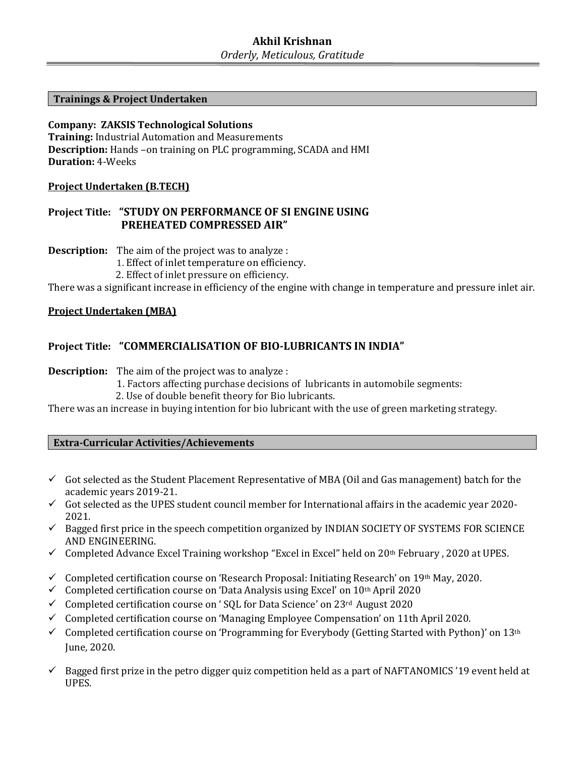### **Trainings & Project Undertaken**

**Company: ZAKSIS Technological Solutions Training:** Industrial Automation and Measurements **Description:** Hands –on training on PLC programming, SCADA and HMI **Duration:** 4-Weeks

## **Project Undertaken (B.TECH)**

## **Project Title: "STUDY ON PERFORMANCE OF SI ENGINE USING PREHEATED COMPRESSED AIR"**

**Description:** The aim of the project was to analyze :

1. Effect of inlet temperature on efficiency.

2. Effect of inlet pressure on efficiency.

There was a significant increase in efficiency of the engine with change in temperature and pressure inlet air.

## **Project Undertaken (MBA)**

## **Project Title: "COMMERCIALISATION OF BIO-LUBRICANTS IN INDIA"**

**Description:** The aim of the project was to analyze :

1. Factors affecting purchase decisions of lubricants in automobile segments:

2. Use of double benefit theory for Bio lubricants.

There was an increase in buying intention for bio lubricant with the use of green marketing strategy.

**Extra-Curricular Activities/Achievements**

- $\checkmark$  Got selected as the Student Placement Representative of MBA (Oil and Gas management) batch for the academic years 2019-21.
- $\checkmark$  Got selected as the UPES student council member for International affairs in the academic year 2020-2021.
- $\checkmark$  Bagged first price in the speech competition organized by INDIAN SOCIETY OF SYSTEMS FOR SCIENCE AND ENGINEERING.
- $\checkmark$  Completed Advance Excel Training workshop "Excel in Excel" held on 20<sup>th</sup> February, 2020 at UPES.
- $\checkmark$  Completed certification course on 'Research Proposal: Initiating Research' on 19th May, 2020.
- $\checkmark$  Completed certification course on 'Data Analysis using Excel' on 10<sup>th</sup> April 2020
- $\checkmark$  Completed certification course on 'SQL for Data Science' on 23<sup>rd</sup> August 2020
- $\checkmark$  Completed certification course on 'Managing Employee Compensation' on 11th April 2020.
- $\checkmark$  Completed certification course on 'Programming for Everybody (Getting Started with Python)' on 13<sup>th</sup> June, 2020.
- $\checkmark$  Bagged first prize in the petro digger quiz competition held as a part of NAFTANOMICS '19 event held at UPES.